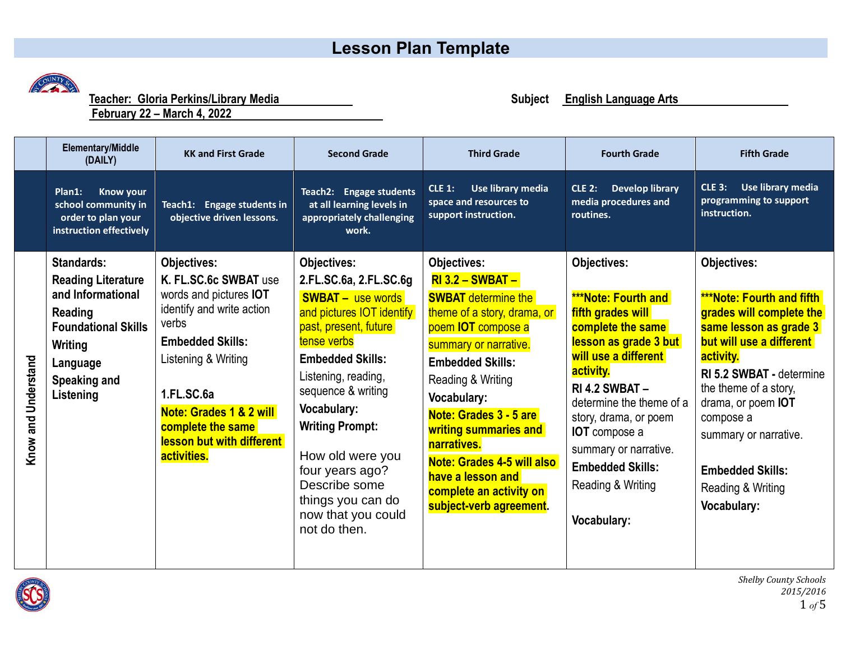## **Lesson Plan Template**



 **Teacher: Gloria Perkins/Library Media**

**February 22 – March 4, 2022** 

**Elementary/Middle (DAILY) KK and First Grade Second Grade Third Grade Fourth Grade Fifth Grade CLE 3: Use library media CLE 1: Use library media CLE 2: Develop library Plan1: Know your Teach2: Engage students programming to support space and resources to media procedures and school community in at all learning levels in Teach1: Engage students in instruction. support instruction. routines. order to plan your objective driven lessons. appropriately challenging instruction effectively work. Objectives: Standards: Objectives: Objectives: Objectives: Objectives: Reading Literature K. FL.SC.6c SWBAT** use **2.FL.SC.6a, 2.FL.SC.6g RI 3.2 – SWBAT – and Informational**  words and pictures **IOT SWBAT –** use words **SWBAT** determine the **\*\*\*Note: Fourth and \*\*\*Note: Fourth and fifth**  identify and write action **Reading**  and pictures IOT identify theme of a story, drama, or **fifth grades will grades will complete the**  verbs past, present, future poem **IOT** compose a **complete the same same lesson as grade 3 Foundational Skills Embedded Skills:** tense verbs **lesson as grade 3 but but will use a different**  summary or narrative. **Writing will use a different activity.** Listening & Writing **Embedded Skills:** Know and Understand **Know and Understand Embedded Skills: Language activity. RI 5.2 SWBAT -** determine Listening, reading, Reading & Writing **Speaking and RI 4.2 SWBAT –** the theme of a story, sequence & writing **1.FL.SC.6a Listening Vocabulary:** determine the theme of a drama, or poem **IOT Vocabulary: Note: Grades 1 & 2 will Note: Grades 3 - 5 are**  story, drama, or poem compose a **complete the same Writing Prompt: writing summaries and IOT** compose a summary or narrative. **lesson but with different narratives.** summary or narrative. How old were you **activities. Note: Grades 4-5 will also Embedded Skills:** four years ago? **Embedded Skills: have a lesson and**  Describe some Reading & Writing Reading & Writing **complete an activity on**  things you can do **subject-verb agreement. Vocabulary:**now that you could **Vocabulary:** not do then.



*Shelby County Schools 2015/2016*  $1 of 5$ 

**Subject English Language Arts**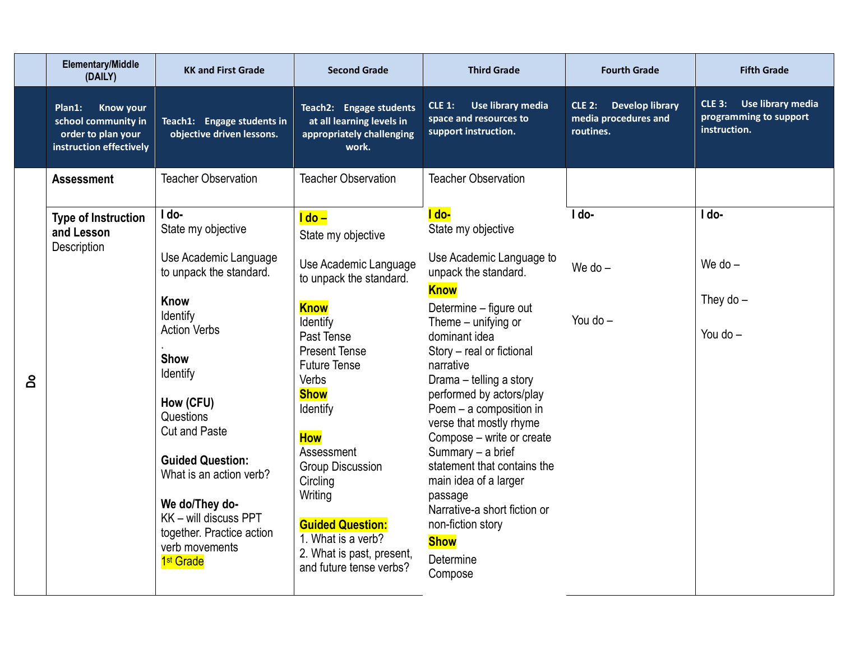|     | <b>Elementary/Middle</b><br>(DAILY)                                                                | <b>KK and First Grade</b>                                                                                                                                                                                                                                                                                                                                                        | <b>Second Grade</b>                                                                                                                                                                                                                                                                                                                                                                                                | <b>Third Grade</b>                                                                                                                                                                                                                                                                                                                                                                                                                                                                                                                       | <b>Fourth Grade</b>                                                          | <b>Fifth Grade</b>                                                           |
|-----|----------------------------------------------------------------------------------------------------|----------------------------------------------------------------------------------------------------------------------------------------------------------------------------------------------------------------------------------------------------------------------------------------------------------------------------------------------------------------------------------|--------------------------------------------------------------------------------------------------------------------------------------------------------------------------------------------------------------------------------------------------------------------------------------------------------------------------------------------------------------------------------------------------------------------|------------------------------------------------------------------------------------------------------------------------------------------------------------------------------------------------------------------------------------------------------------------------------------------------------------------------------------------------------------------------------------------------------------------------------------------------------------------------------------------------------------------------------------------|------------------------------------------------------------------------------|------------------------------------------------------------------------------|
|     | <b>Know your</b><br>Plan1:<br>school community in<br>order to plan your<br>instruction effectively | Teach1: Engage students in<br>objective driven lessons.                                                                                                                                                                                                                                                                                                                          | Teach2: Engage students<br>at all learning levels in<br>appropriately challenging<br>work.                                                                                                                                                                                                                                                                                                                         | Use library media<br><b>CLE 1:</b><br>space and resources to<br>support instruction.                                                                                                                                                                                                                                                                                                                                                                                                                                                     | <b>Develop library</b><br><b>CLE 2:</b><br>media procedures and<br>routines. | Use library media<br><b>CLE 3:</b><br>programming to support<br>instruction. |
|     | <b>Assessment</b>                                                                                  | <b>Teacher Observation</b>                                                                                                                                                                                                                                                                                                                                                       | <b>Teacher Observation</b>                                                                                                                                                                                                                                                                                                                                                                                         | <b>Teacher Observation</b>                                                                                                                                                                                                                                                                                                                                                                                                                                                                                                               |                                                                              |                                                                              |
| പ്പ | <b>Type of Instruction</b><br>and Lesson<br>Description                                            | I do-<br>State my objective<br>Use Academic Language<br>to unpack the standard.<br>Know<br>Identify<br><b>Action Verbs</b><br><b>Show</b><br>Identify<br>How (CFU)<br>Questions<br><b>Cut and Paste</b><br><b>Guided Question:</b><br>What is an action verb?<br>We do/They do-<br>KK - will discuss PPT<br>together. Practice action<br>verb movements<br>1 <sup>st</sup> Grade | <u>l do – </u><br>State my objective<br>Use Academic Language<br>to unpack the standard.<br><b>Know</b><br>Identify<br>Past Tense<br><b>Present Tense</b><br><b>Future Tense</b><br><b>Verbs</b><br><b>Show</b><br>Identify<br><b>How</b><br>Assessment<br><b>Group Discussion</b><br>Circling<br>Writing<br><b>Guided Question:</b><br>1. What is a verb?<br>2. What is past, present,<br>and future tense verbs? | I do-<br>State my objective<br>Use Academic Language to<br>unpack the standard.<br><b>Know</b><br>Determine - figure out<br>Theme – unifying or<br>dominant idea<br>Story - real or fictional<br>narrative<br>Drama - telling a story<br>performed by actors/play<br>Poem - a composition in<br>verse that mostly rhyme<br>Compose - write or create<br>Summary - a brief<br>statement that contains the<br>main idea of a larger<br>passage<br>Narrative-a short fiction or<br>non-fiction story<br><b>Show</b><br>Determine<br>Compose | I do-<br>We do $-$<br>You do $-$                                             | I do-<br>We do $-$<br>They do $-$<br>You do $-$                              |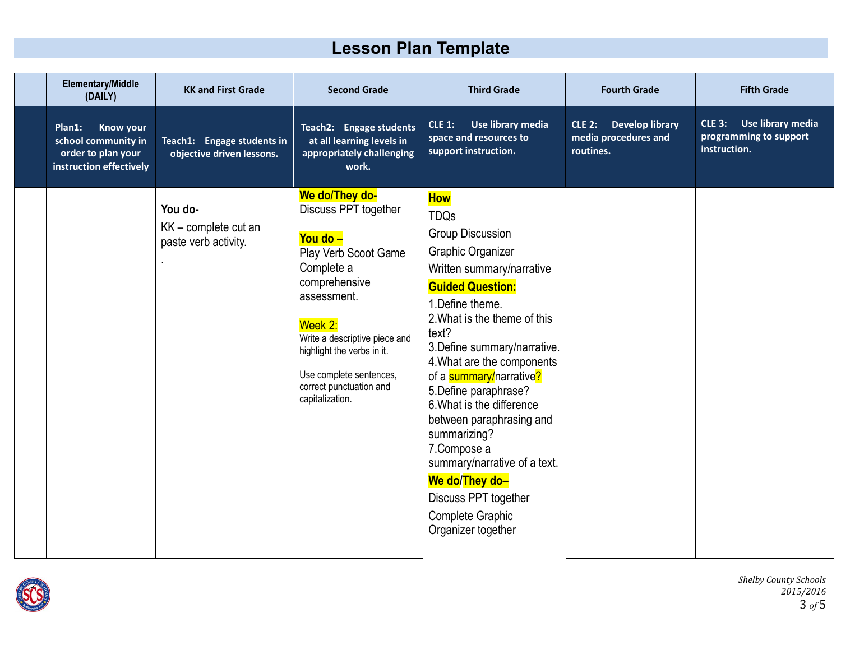## **Lesson Plan Template**

| <b>Elementary/Middle</b><br>(DAILY)                                                                | <b>KK and First Grade</b>                               | <b>Second Grade</b>                                                                                                                                                                                                                                                         | <b>Third Grade</b>                                                                                                                                                                                                                                                                                                                                                                                                                                                                                                                  | <b>Fourth Grade</b>                                                     | <b>Fifth Grade</b>                                                           |
|----------------------------------------------------------------------------------------------------|---------------------------------------------------------|-----------------------------------------------------------------------------------------------------------------------------------------------------------------------------------------------------------------------------------------------------------------------------|-------------------------------------------------------------------------------------------------------------------------------------------------------------------------------------------------------------------------------------------------------------------------------------------------------------------------------------------------------------------------------------------------------------------------------------------------------------------------------------------------------------------------------------|-------------------------------------------------------------------------|------------------------------------------------------------------------------|
| Plan1:<br><b>Know your</b><br>school community in<br>order to plan your<br>instruction effectively | Teach1: Engage students in<br>objective driven lessons. | Teach2: Engage students<br>at all learning levels in<br>appropriately challenging<br>work.                                                                                                                                                                                  | Use library media<br><b>CLE 1:</b><br>space and resources to<br>support instruction.                                                                                                                                                                                                                                                                                                                                                                                                                                                | <b>Develop library</b><br>$CLE$ 2:<br>media procedures and<br>routines. | <b>CLE 3:</b><br>Use library media<br>programming to support<br>instruction. |
|                                                                                                    | You do-<br>KK - complete cut an<br>paste verb activity. | We do/They do-<br>Discuss PPT together<br>You do -<br>Play Verb Scoot Game<br>Complete a<br>comprehensive<br>assessment.<br>Week 2:<br>Write a descriptive piece and<br>highlight the verbs in it.<br>Use complete sentences,<br>correct punctuation and<br>capitalization. | <b>How</b><br><b>TDQs</b><br><b>Group Discussion</b><br>Graphic Organizer<br>Written summary/narrative<br><b>Guided Question:</b><br>1. Define theme.<br>2. What is the theme of this<br>text?<br>3. Define summary/narrative.<br>4. What are the components<br>of a summary/narrative?<br>5. Define paraphrase?<br>6. What is the difference<br>between paraphrasing and<br>summarizing?<br>7.Compose a<br>summary/narrative of a text.<br>We do/They do-<br>Discuss PPT together<br><b>Complete Graphic</b><br>Organizer together |                                                                         |                                                                              |

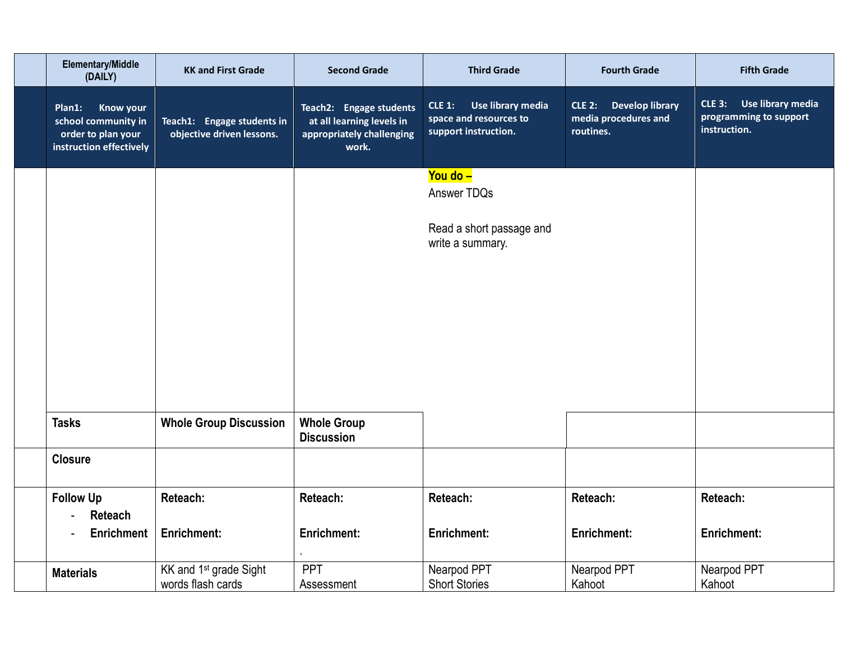| Elementary/Middle<br>(DAILY)                                                                       | <b>KK and First Grade</b>                               | <b>Second Grade</b>                                                                        | <b>Third Grade</b>                                                               | <b>Fourth Grade</b>                                         | <b>Fifth Grade</b>                                                           |
|----------------------------------------------------------------------------------------------------|---------------------------------------------------------|--------------------------------------------------------------------------------------------|----------------------------------------------------------------------------------|-------------------------------------------------------------|------------------------------------------------------------------------------|
| <b>Know your</b><br>Plan1:<br>school community in<br>order to plan your<br>instruction effectively | Teach1: Engage students in<br>objective driven lessons. | Teach2: Engage students<br>at all learning levels in<br>appropriately challenging<br>work. | Use library media<br>$CLE_1$ :<br>space and resources to<br>support instruction. | CLE 2: Develop library<br>media procedures and<br>routines. | Use library media<br><b>CLE 3:</b><br>programming to support<br>instruction. |
|                                                                                                    |                                                         |                                                                                            | You do -<br>Answer TDQs                                                          |                                                             |                                                                              |
|                                                                                                    |                                                         |                                                                                            | Read a short passage and<br>write a summary.                                     |                                                             |                                                                              |
|                                                                                                    |                                                         |                                                                                            |                                                                                  |                                                             |                                                                              |
|                                                                                                    |                                                         |                                                                                            |                                                                                  |                                                             |                                                                              |
|                                                                                                    |                                                         |                                                                                            |                                                                                  |                                                             |                                                                              |
| <b>Tasks</b>                                                                                       | <b>Whole Group Discussion</b>                           | <b>Whole Group</b><br><b>Discussion</b>                                                    |                                                                                  |                                                             |                                                                              |
| <b>Closure</b>                                                                                     |                                                         |                                                                                            |                                                                                  |                                                             |                                                                              |
| <b>Follow Up</b><br><b>Reteach</b><br>$\blacksquare$                                               | <b>Reteach:</b>                                         | Reteach:                                                                                   | Reteach:                                                                         | <b>Reteach:</b>                                             | Reteach:                                                                     |
| <b>Enrichment</b>                                                                                  | <b>Enrichment:</b>                                      | <b>Enrichment:</b>                                                                         | <b>Enrichment:</b>                                                               | <b>Enrichment:</b>                                          | <b>Enrichment:</b>                                                           |
| <b>Materials</b>                                                                                   | KK and 1 <sup>st</sup> grade Sight<br>words flash cards | PPT<br>Assessment                                                                          | Nearpod PPT<br><b>Short Stories</b>                                              | Nearpod PPT<br>Kahoot                                       | Nearpod PPT<br>Kahoot                                                        |